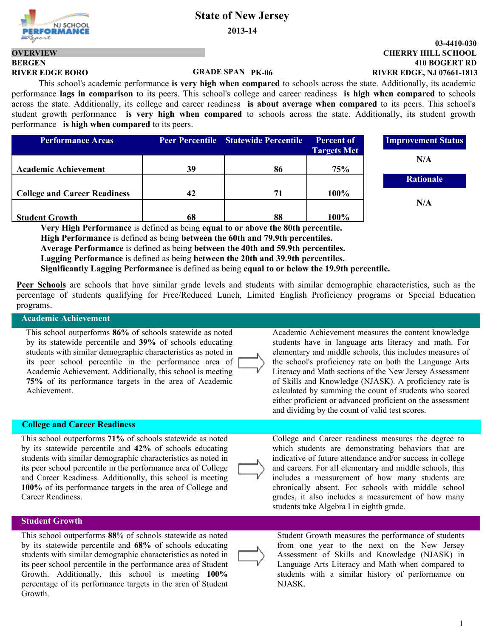**2013-14**

# **BERGEN OVERVIEW**

#### **GRADE SPAN**

 This school's academic performance **is very high when compared** to schools across the state. Additionally, its academic performance **lags in comparison** to its peers. This school's college and career readiness **is high when compared** to schools across the state. Additionally, its college and career readiness **is about average when compared** to its peers. This school's student growth performance **is very high when compared** to schools across the state. Additionally, its student growth performance **is high when compared** to its peers.

| <b>Performance Areas</b>            |    | Peer Percentile Statewide Percentile | <b>Percent of</b><br><b>Targets Met</b> | <b>Improvement S</b> |
|-------------------------------------|----|--------------------------------------|-----------------------------------------|----------------------|
| <b>Academic Achievement</b>         | 39 | 86                                   | 75%                                     | N/A                  |
|                                     |    |                                      |                                         | <b>Rationale</b>     |
| <b>College and Career Readiness</b> | 42 | 71                                   | 100%                                    | N/A                  |
| <b>Student Growth</b>               | 68 | 88                                   | 100%                                    |                      |

**Very High Performance** is defined as being **equal to or above the 80th percentile. High Performance** is defined as being **between the 60th and 79.9th percentiles. Average Performance** is defined as being **between the 40th and 59.9th percentiles. Lagging Performance** is defined as being **between the 20th and 39.9th percentiles. Significantly Lagging Performance** is defined as being **equal to or below the 19.9th percentile.**

**Peer Schools** are schools that have similar grade levels and students with similar demographic characteristics, such as the percentage of students qualifying for Free/Reduced Lunch, Limited English Proficiency programs or Special Education programs.

#### **Academic Achievement**

This school outperforms **86%** of schools statewide as noted by its statewide percentile and **39%** of schools educating students with similar demographic characteristics as noted in its peer school percentile in the performance area of Academic Achievement. Additionally, this school is meeting **75%** of its performance targets in the area of Academic Achievement.

#### **College and Career Readiness**

This school outperforms **71%** of schools statewide as noted by its statewide percentile and **42%** of schools educating students with similar demographic characteristics as noted in its peer school percentile in the performance area of College and Career Readiness. Additionally, this school is meeting **100%** of its performance targets in the area of College and Career Readiness.

#### **Student Growth**

This school outperforms **88**% of schools statewide as noted by its statewide percentile and **68%** of schools educating students with similar demographic characteristics as noted in its peer school percentile in the performance area of Student Growth. Additionally, this school is meeting **100%** percentage of its performance targets in the area of Student Growth.

Academic Achievement measures the content knowledge students have in language arts literacy and math. For elementary and middle schools, this includes measures of the school's proficiency rate on both the Language Arts Literacy and Math sections of the New Jersey Assessment of Skills and Knowledge (NJASK). A proficiency rate is calculated by summing the count of students who scored either proficient or advanced proficient on the assessment and dividing by the count of valid test scores.

College and Career readiness measures the degree to which students are demonstrating behaviors that are indicative of future attendance and/or success in college and careers. For all elementary and middle schools, this includes a measurement of how many students are chronically absent. For schools with middle school grades, it also includes a measurement of how many students take Algebra I in eighth grade.

Student Growth measures the performance of students from one year to the next on the New Jersey Assessment of Skills and Knowledge (NJASK) in Language Arts Literacy and Math when compared to students with a similar history of performance on NJASK.

**410 BOGERT RD CHERRY HILL SCHOOL 03-4410-030 RIVER EDGE BORO PK-06 RIVER EDGE, NJ 07661-1813**

**Improperent Status** 

NJ SCHOOL

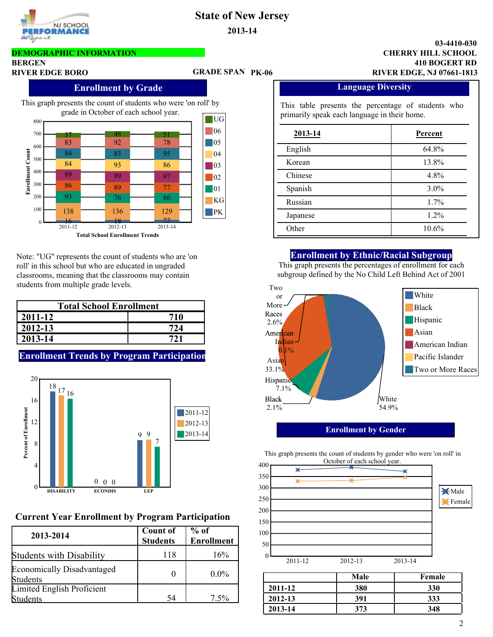

### **DEMOGRAPHIC INFORMATION**

#### **BERGEN**

### **GRADE SPAN**

#### **410 BOGERT RD CHERRY HILL SCHOOL 03-4410-030 RIVER EDGE BORO PK-06 RIVER EDGE, NJ 07661-1813**

#### **Enrollment by Grade**



Note: "UG" represents the count of students who are 'on roll' in this school but who are educated in ungraded classrooms, meaning that the classrooms may contain students from multiple grade levels. Two

| <b>Total School Enrollment</b> |     |  |  |  |  |
|--------------------------------|-----|--|--|--|--|
| 2011-12                        | 710 |  |  |  |  |
| 2012-13                        | 724 |  |  |  |  |
| 2013-14                        |     |  |  |  |  |

### **Enrollment Trends by Program Participation**



## **Current Year Enrollment by Program Participation**

| 2013-2014                                     | <b>Count of</b> | % of              |
|-----------------------------------------------|-----------------|-------------------|
|                                               | <b>Students</b> | <b>Enrollment</b> |
| <b>Students with Disability</b>               | 118             | 16%               |
| <b>Economically Disadvantaged</b><br>Students |                 | $0.0\%$           |
| <b>Limited English Proficient</b><br>Students | 54              | 7.5%              |

#### **Language Diversity**

This table presents the percentage of students who primarily speak each language in their home.

| 2013-14  | Percent |
|----------|---------|
| English  | 64.8%   |
| Korean   | 13.8%   |
| Chinese  | 4.8%    |
| Spanish  | $3.0\%$ |
| Russian  | 1.7%    |
| Japanese | 1.2%    |
| Other    | 10.6%   |

#### **Enrollment by Ethnic/Racial Subgroup**

This graph presents the percentages of enrollment for each subgroup defined by the No Child Left Behind Act of 2001



#### **Enrollment by Gender**

This graph presents the count of students by gender who were 'on roll' in

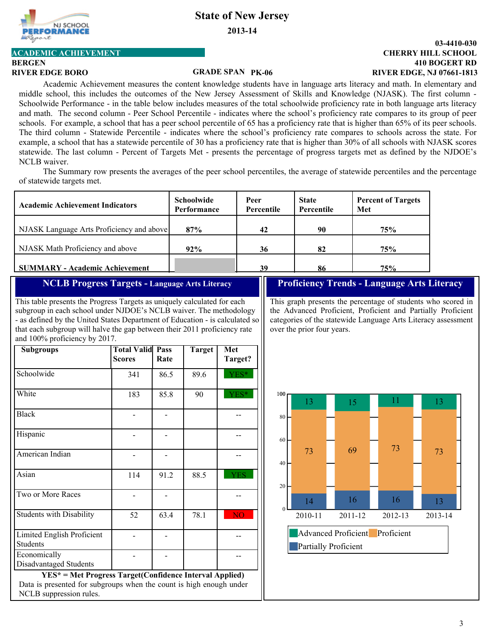

**2013-14**

## **ACADEMIC ACHIEVEMENT**

## **BERGEN**

#### **GRADE SPAN**

#### **410 BOGERT RD CHERRY HILL SCHOOL 03-4410-030 RIVER EDGE BORO PK-06 RIVER EDGE, NJ 07661-1813**

Academic Achievement measures the content knowledge students have in language arts literacy and math. In elementary and middle school, this includes the outcomes of the New Jersey Assessment of Skills and Knowledge (NJASK). The first column - Schoolwide Performance - in the table below includes measures of the total schoolwide proficiency rate in both language arts literacy and math. The second column - Peer School Percentile - indicates where the school's proficiency rate compares to its group of peer schools. For example, a school that has a peer school percentile of 65 has a proficiency rate that is higher than 65% of its peer schools. The third column - Statewide Percentile - indicates where the school's proficiency rate compares to schools across the state. For example, a school that has a statewide percentile of 30 has a proficiency rate that is higher than 30% of all schools with NJASK scores statewide. The last column - Percent of Targets Met - presents the percentage of progress targets met as defined by the NJDOE's NCLB waiver.

The Summary row presents the averages of the peer school percentiles, the average of statewide percentiles and the percentage of statewide targets met.

| <b>Academic Achievement Indicators</b>    | <b>Schoolwide</b><br>Performance | Peer<br><b>Percentile</b> | <b>State</b><br>Percentile | <b>Percent of Targets</b><br>Met |
|-------------------------------------------|----------------------------------|---------------------------|----------------------------|----------------------------------|
| NJASK Language Arts Proficiency and above | 87%                              | 42                        | 90                         | 75%                              |
| NJASK Math Proficiency and above          | 92%                              | 36                        | 82                         | 75%                              |
| <b>SUMMARY - Academic Achievement</b>     |                                  | 39                        | 86                         | 75%                              |

#### **NCLB Progress Targets - Language Arts Literacy**

This table presents the Progress Targets as uniquely calculated for each subgroup in each school under NJDOE's NCLB waiver. The methodology - as defined by the United States Department of Education - is calculated so that each subgroup will halve the gap between their 2011 proficiency rate and 100% proficiency by 2017.

| <b>Subgroups</b>                              | <b>Total Valid Pass</b> | Rate | <b>Target</b> | Met            |
|-----------------------------------------------|-------------------------|------|---------------|----------------|
|                                               | <b>Scores</b>           |      |               | Target?        |
| Schoolwide                                    | 341                     | 86.5 | 89.6          | YES*           |
| White                                         | 183                     | 85.8 | 90            | YES*           |
| <b>Black</b>                                  |                         |      |               |                |
| Hispanic                                      |                         |      |               |                |
| American Indian                               |                         |      |               |                |
| Asian                                         | 114                     | 91.2 | 88.5          | <b>YES</b>     |
| Two or More Races                             |                         |      |               |                |
| <b>Students with Disability</b>               | 52                      | 63.4 | 78.1          | N <sub>O</sub> |
| Limited English Proficient<br><b>Students</b> |                         |      |               |                |
| Economically<br>Disadvantaged Students        |                         |      |               |                |

**YES\* = Met Progress Target(Confidence Interval Applied)** Data is presented for subgroups when the count is high enough under NCLB suppression rules.

### **Proficiency Trends - Language Arts Literacy**

This graph presents the percentage of students who scored in the Advanced Proficient, Proficient and Partially Proficient categories of the statewide Language Arts Literacy assessment over the prior four years.

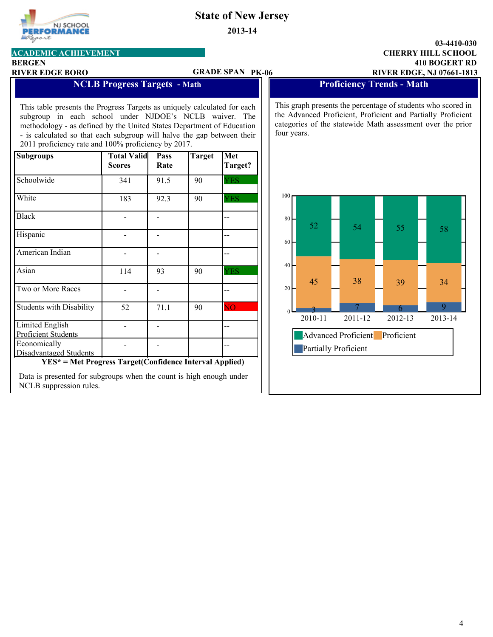

**2013-14**

### **410 BOGERT RD CHERRY HILL SCHOOL 03-4410-030**

**ACADEMIC ACHIEVEMENT**

### **BERGEN**

#### **RIVER EDGE BORO PK-06 RIVER EDGE, NJ 07661-1813 GRADE SPAN**

## **NCLB Progress Targets - Math**

This table presents the Progress Targets as uniquely calculated for each subgroup in each school under NJDOE's NCLB waiver. The methodology - as defined by the United States Department of Education - is calculated so that each subgroup will halve the gap between their 2011 proficiency rate and 100% proficiency by 2017.

| <b>Subgroups</b>                              | <b>Total Valid</b><br><b>Scores</b> | Pass<br>Rate | <b>Target</b> | Met<br>Target? |
|-----------------------------------------------|-------------------------------------|--------------|---------------|----------------|
| Schoolwide                                    | 341                                 | 91.5         | 90            | <b>YES</b>     |
| White                                         | 183                                 | 92.3         | 90            | <b>YES</b>     |
| <b>Black</b>                                  |                                     |              |               |                |
| Hispanic                                      |                                     |              |               |                |
| American Indian                               |                                     |              |               |                |
| Asian                                         | 114                                 | 93           | 90            | <b>YES</b>     |
| Two or More Races                             |                                     |              |               |                |
| <b>Students with Disability</b>               | 52                                  | 71.1         | 90            | <b>NO</b>      |
| Limited English<br>Proficient Students        |                                     |              |               |                |
| Economically<br><b>Disadvantaged Students</b> |                                     |              |               |                |

**YES\* = Met Progress Target(Confidence Interval Applied)**

Data is presented for subgroups when the count is high enough under NCLB suppression rules.

**Proficiency Trends - Math** 

This graph presents the percentage of students who scored in the Advanced Proficient, Proficient and Partially Proficient categories of the statewide Math assessment over the prior four years.

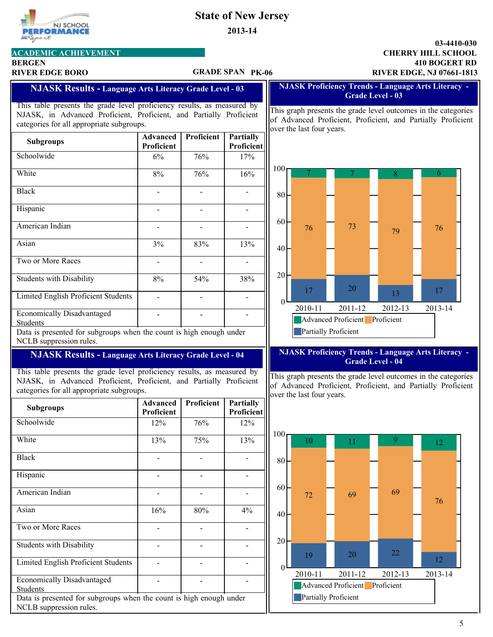**2013-14**

| NJ SCHOOL          |
|--------------------|
| <b>PERFORMANCE</b> |
|                    |

## **ACADEMIC ACHIEVEMENT**

## **BERGEN**

#### **RIVER EDGE BORO PK-06 RIVER EDGE, NJ 07661-1813 GRADE SPAN**

### **410 BOGERT RD CHERRY HILL SCHOOL 03-4410-030**

#### **NJASK Results - Language Arts Literacy Grade Level - 03**

This table presents the grade level proficiency results, as measured by NJASK, in Advanced Proficient, Proficient, and Partially Proficient categories for all appropriate subgroups.

| <b>Subgroups</b>                              | Advanced<br>Proficient | <b>Proficient</b> | <b>Partially</b><br>Proficient |
|-----------------------------------------------|------------------------|-------------------|--------------------------------|
| Schoolwide                                    | 6%                     | 76%               | 17%                            |
| White                                         | 8%                     | 76%               | 16%                            |
| <b>Black</b>                                  |                        |                   |                                |
| Hispanic                                      |                        |                   |                                |
| American Indian                               |                        |                   |                                |
| Asian                                         | 3%                     | 83%               | 13%                            |
| Two or More Races                             |                        |                   |                                |
| <b>Students with Disability</b>               | 8%                     | 54%               | 38%                            |
| Limited English Proficient Students           |                        |                   |                                |
| <b>Economically Disadvantaged</b><br>Students |                        |                   |                                |

Data is presented for subgroups when the count is high enough under NCLB suppression rules.

### **NJASK Results - Language Arts Literacy Grade Level - 04**

This table presents the grade level proficiency results, as measured by NJASK, in Advanced Proficient, Proficient, and Partially Proficient categories for all appropriate subgroups.

| <b>Subgroups</b>                                                                               | <b>Advanced</b> | Proficient | <b>Partially</b> |  |  |  |
|------------------------------------------------------------------------------------------------|-----------------|------------|------------------|--|--|--|
|                                                                                                | Proficient      |            | Proficient       |  |  |  |
| Schoolwide                                                                                     | 12%             | 76%        | 12%              |  |  |  |
| White                                                                                          | 13%             | 75%        | 13%              |  |  |  |
| <b>Black</b>                                                                                   |                 |            |                  |  |  |  |
| Hispanic                                                                                       |                 |            |                  |  |  |  |
| American Indian                                                                                |                 |            |                  |  |  |  |
| Asian                                                                                          | 16%             | 80%        | $4\%$            |  |  |  |
| Two or More Races                                                                              |                 |            |                  |  |  |  |
| <b>Students with Disability</b>                                                                |                 |            |                  |  |  |  |
| Limited English Proficient Students                                                            |                 |            |                  |  |  |  |
| <b>Economically Disadvantaged</b><br><b>Students</b>                                           |                 |            |                  |  |  |  |
| Data is presented for subgroups when the count is high enough under<br>NCLB suppression rules. |                 |            |                  |  |  |  |

#### **NJASK Proficiency Trends - Language Arts Literacy - Grade Level - 03**

This graph presents the grade level outcomes in the categories of Advanced Proficient, Proficient, and Partially Proficient over the last four years.



#### **NJASK Proficiency Trends - Language Arts Literacy - Grade Level - 04**

This graph presents the grade level outcomes in the categories of Advanced Proficient, Proficient, and Partially Proficient over the last four years.

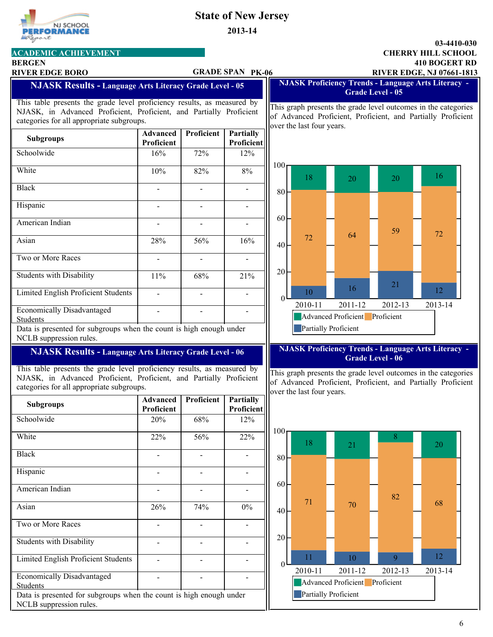**2013-14**

# **CHERRY HILL SCHOOL 03-4410-030**

| <b>BERGEN</b><br><b>RIVER EDGE BORO</b>                                                                                                                                                     |                          |                | <b>GRADE SPAN PK-06</b>        | <b>410 BOGERT RD</b><br><b>RIVER EDGE, NJ 07661-1813</b>                                                                                                    |
|---------------------------------------------------------------------------------------------------------------------------------------------------------------------------------------------|--------------------------|----------------|--------------------------------|-------------------------------------------------------------------------------------------------------------------------------------------------------------|
| <b>NJASK Results - Language Arts Literacy Grade Level - 05</b>                                                                                                                              |                          |                |                                | <b>NJASK Proficiency Trends - Language Arts Literacy -</b><br><b>Grade Level - 05</b>                                                                       |
| This table presents the grade level proficiency results, as measured by<br>NJASK, in Advanced Proficient, Proficient, and Partially Proficient<br>categories for all appropriate subgroups. |                          |                |                                | This graph presents the grade level outcomes in the categories<br>of Advanced Proficient, Proficient, and Partially Proficient<br>over the last four years. |
| <b>Subgroups</b>                                                                                                                                                                            | Advanced<br>Proficient   | Proficient     | <b>Partially</b><br>Proficient |                                                                                                                                                             |
| Schoolwide                                                                                                                                                                                  | 16%                      | 72%            | 12%                            |                                                                                                                                                             |
| White                                                                                                                                                                                       | 10%                      | 82%            | $8\%$                          | $100-$<br>16<br>18<br>20<br>20                                                                                                                              |
| <b>Black</b>                                                                                                                                                                                |                          |                |                                | 80                                                                                                                                                          |
| Hispanic                                                                                                                                                                                    | $\blacksquare$           | $\overline{a}$ | $\overline{\phantom{a}}$       |                                                                                                                                                             |
| American Indian                                                                                                                                                                             |                          |                |                                | 60<br>59                                                                                                                                                    |
| Asian                                                                                                                                                                                       | 28%                      | 56%            | 16%                            | 72<br>64<br>72<br>40                                                                                                                                        |
| Two or More Races                                                                                                                                                                           | $\overline{\phantom{0}}$ | $\overline{a}$ |                                |                                                                                                                                                             |
| <b>Students with Disability</b>                                                                                                                                                             | 11%                      | 68%            | 21%                            | 20<br>21                                                                                                                                                    |
| Limited English Proficient Students                                                                                                                                                         | $\blacksquare$           | $\blacksquare$ | $\overline{\phantom{a}}$       | 16<br>12<br>10<br>$\Omega$                                                                                                                                  |
| <b>Economically Disadvantaged</b><br>Students                                                                                                                                               |                          |                |                                | 2011-12<br>2012-13<br>2013-14<br>2010-11<br><b>Advanced Proficient</b><br>Proficient                                                                        |
| Data is presented for subgroups when the count is high enough under<br>NCLB suppression rules.                                                                                              |                          |                |                                | <b>Partially Proficient</b>                                                                                                                                 |
| <b>NJASK Results - Language Arts Literacy Grade Level - 06</b>                                                                                                                              |                          |                |                                | <b>NJASK Proficiency Trends - Language Arts Literacy -</b><br><b>Grade Level - 06</b>                                                                       |
| This table presents the grade level proficiency results, as measured by<br>NJASK, in Advanced Proficient, Proficient, and Partially Proficient<br>categories for all appropriate subgroups. |                          |                |                                | This graph presents the grade level outcomes in the categories<br>of Advanced Proficient, Proficient, and Partially Proficient<br>over the last four years. |
| <b>Subgroups</b>                                                                                                                                                                            | Advanced<br>Proficient   | Proficient     | <b>Partially</b><br>Proficient |                                                                                                                                                             |
| Schoolwide                                                                                                                                                                                  | $20\%$                   | 68%            | 12%                            |                                                                                                                                                             |
| White                                                                                                                                                                                       | 22%                      | 56%            | 22%                            | $100-$<br>8<br>18<br>20<br>21                                                                                                                               |
| <b>Black</b>                                                                                                                                                                                | $\blacksquare$           | $\blacksquare$ | $\blacksquare$                 | 80 <sup>2</sup>                                                                                                                                             |
| Hispanic                                                                                                                                                                                    | $\blacksquare$           | $\blacksquare$ | $\blacksquare$                 |                                                                                                                                                             |
| American Indian                                                                                                                                                                             | $\blacksquare$           | $\blacksquare$ |                                | 60 <sup>1</sup>                                                                                                                                             |

 $26\%$  74% 0%

- - -

- - -

- - -

- - -

Data is presented for subgroups when the count is high enough under NCLB suppression rules. Students





6

## **ACADEMIC ACHIEVEMENT**

Asian

Two or More Races

Students with Disability

Limited English Proficient Students

Economically Disadvantaged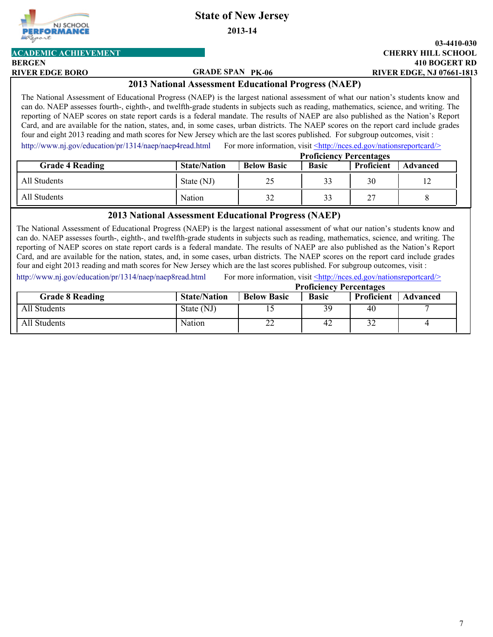**2013-14**

**ACADEMIC ACHIEVEMENT**

#### **GRADE SPAN**

#### **410 BOGERT RD CHERRY HILL SCHOOL 03-4410-030 RIVER EDGE BORO PK-06 RIVER EDGE, NJ 07661-1813**

#### **2013 National Assessment Educational Progress (NAEP)**

The National Assessment of Educational Progress (NAEP) is the largest national assessment of what our nation's students know and can do. NAEP assesses fourth-, eighth-, and twelfth-grade students in subjects such as reading, mathematics, science, and writing. The reporting of NAEP scores on state report cards is a federal mandate. The results of NAEP are also published as the Nation's Report Card, and are available for the nation, states, and, in some cases, urban districts. The NAEP scores on the report card include grades four and eight 2013 reading and math scores for New Jersey which are the last scores published. For subgroup outcomes, visit :

For more information, visit <http://nces.ed.gov/nationsreportcard/> [http://www.nj.gov/education/pr/1314/naep/naep4read.html](http://www.nj.gov/education/pr/1213/naep/naep8read.html)

|                        | <b>Proficiency Percentages</b> |                    |              |            |                 |
|------------------------|--------------------------------|--------------------|--------------|------------|-----------------|
| <b>Grade 4 Reading</b> | <b>State/Nation</b>            | <b>Below Basic</b> | <b>Basic</b> | Proficient | <b>Advanced</b> |
| All Students           | State (NJ)                     | 25                 | 33           | 30         | 12              |
| All Students           | Nation                         | 32                 | 33           | 27         |                 |

#### **2013 National Assessment Educational Progress (NAEP)**

The National Assessment of Educational Progress (NAEP) is the largest national assessment of what our nation's students know and can do. NAEP assesses fourth-, eighth-, and twelfth-grade students in subjects such as reading, mathematics, science, and writing. The reporting of NAEP scores on state report cards is a federal mandate. The results of NAEP are also published as the Nation's Report Card, and are available for the nation, states, and, in some cases, urban districts. The NAEP scores on the report card include grades four and eight 2013 reading and math scores for New Jersey which are the last scores published. For subgroup outcomes, visit :

[http://www.nj.gov/education/pr/1314/naep/naep8read.html](http://www.nj.gov/education/pr/1213/naep/naep8read.html) For more information, visit <http://nces.ed.gov/nationsreportcard/>

|                        |                     | <b>Proficiency Percentages</b> |              |            |          |  |
|------------------------|---------------------|--------------------------------|--------------|------------|----------|--|
| <b>Grade 8 Reading</b> | <b>State/Nation</b> | <b>Below Basic</b>             | <b>Basic</b> | Proficient | Advanced |  |
| All Students           | State (NJ)          |                                | 39           | 40         |          |  |
| All Students           | Nation              | $\sim$<br>ZZ                   | 42           | 32         |          |  |



**BERGEN**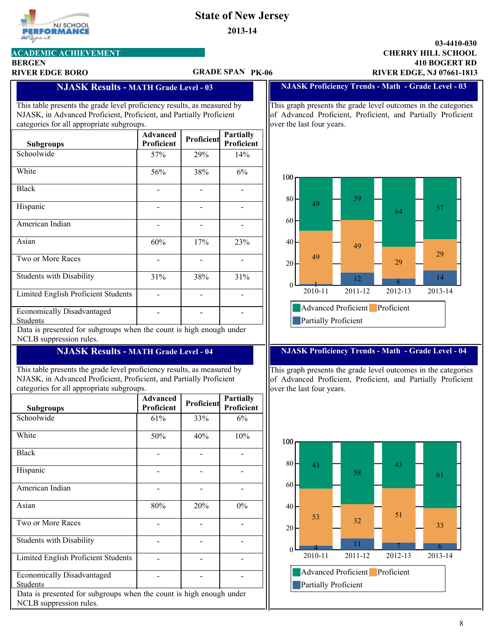**2013-14**

### rt **ACADEMIC ACHIEVEMENT**

NJ SCHOOL **RFORMANCE** 

## **BERGEN**

#### **GRADE SPAN**

#### **410 BOGERT RD CHERRY HILL SCHOOL RIVER EDGE BORO PK-06 RIVER EDGE, NJ 07661-1813**

**03-4410-030**

#### **NJASK Results - MATH Grade Level - 03**

This table presents the grade level proficiency results, as measured by NJASK, in Advanced Proficient, Proficient, and Partially Proficient categories for all appropriate subgroups.

| <b>Subgroups</b>                                     | <b>Advanced</b><br>Proficient | Proficient | <b>Partially</b><br>Proficient |
|------------------------------------------------------|-------------------------------|------------|--------------------------------|
| Schoolwide                                           | 57%                           | 29%        | 14%                            |
| White                                                | 56%                           | 38%        | 6%                             |
| <b>Black</b>                                         |                               |            |                                |
| Hispanic                                             |                               |            |                                |
| American Indian                                      |                               |            |                                |
| Asian                                                | 60%                           | 17%        | 23%                            |
| Two or More Races                                    |                               |            |                                |
| <b>Students with Disability</b>                      | 31%                           | 38%        | 31%                            |
| Limited English Proficient Students                  |                               |            |                                |
| <b>Economically Disadvantaged</b><br><b>Students</b> |                               |            |                                |

Data is presented for subgroups when the count is high enough under NCLB suppression rules.

### **NJASK Results - MATH Grade Level - 04**

This table presents the grade level proficiency results, as measured by NJASK, in Advanced Proficient, Proficient, and Partially Proficient categories for all appropriate subgroups.

| <b>Subgroups</b>                                                                               | <b>Advanced</b><br>Proficient | Proficient | <b>Partially</b><br>Proficient |  |  |  |
|------------------------------------------------------------------------------------------------|-------------------------------|------------|--------------------------------|--|--|--|
| Schoolwide                                                                                     | 61%                           | 33%        | 6%                             |  |  |  |
| White                                                                                          | 50%                           | 40%        | 10%                            |  |  |  |
| <b>Black</b>                                                                                   |                               |            |                                |  |  |  |
| Hispanic                                                                                       |                               |            |                                |  |  |  |
| <b>American Indian</b>                                                                         |                               |            |                                |  |  |  |
| Asian                                                                                          | 80%                           | 20%        | $0\%$                          |  |  |  |
| Two or More Races                                                                              |                               |            |                                |  |  |  |
| <b>Students with Disability</b>                                                                |                               |            |                                |  |  |  |
| Limited English Proficient Students                                                            |                               |            |                                |  |  |  |
| <b>Economically Disadvantaged</b><br><b>Students</b>                                           |                               |            |                                |  |  |  |
| Data is presented for subgroups when the count is high enough under<br>NCLB suppression rules. |                               |            |                                |  |  |  |

#### **NJASK Proficiency Trends - Math - Grade Level - 03**

This graph presents the grade level outcomes in the categories of Advanced Proficient, Proficient, and Partially Proficient over the last four years.



#### **NJASK Proficiency Trends - Math - Grade Level - 04**

This graph presents the grade level outcomes in the categories of Advanced Proficient, Proficient, and Partially Proficient over the last four years.

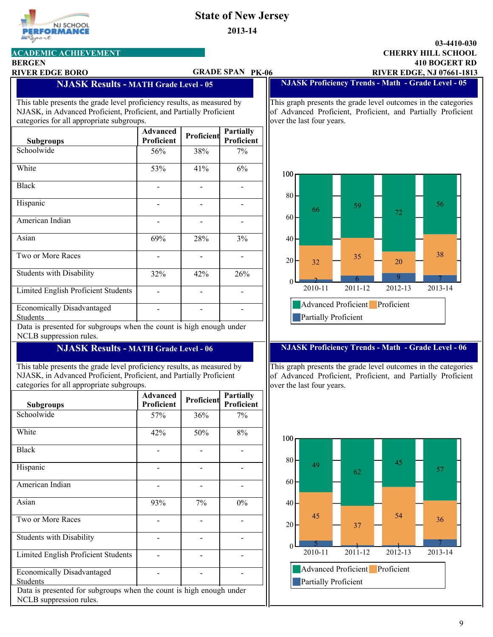**2013-14**

### **410 BOGERT RD CHERRY HILL SCHOOL 03-4410-030**

### **ACADEMIC ACHIEVEMENT**

NJ SCHOOL RFORMANCE

#### **BERGEN**

goort

#### **RIVER EDGE BORO PK-06 RIVER EDGE, NJ 07661-1813 GRADE SPAN**

#### **NJASK Proficiency Trends - Math - Grade Level - 05**

This table presents the grade level proficiency results, as measured by NJASK, in Advanced Proficient, Proficient, and Partially Proficient categories for all appropriate subgroups.

**NJASK Results - MATH Grade Level - 05**

| <b>Subgroups</b>                              | <b>Advanced</b><br>Proficient | Proficient | <b>Partially</b><br>Proficient |
|-----------------------------------------------|-------------------------------|------------|--------------------------------|
| Schoolwide                                    | 56%                           | 38%        | 7%                             |
| White                                         | 53%                           | 41%        | 6%                             |
| <b>Black</b>                                  |                               |            |                                |
| Hispanic                                      |                               |            |                                |
| American Indian                               |                               |            |                                |
| Asian                                         | 69%                           | 28%        | 3%                             |
| Two or More Races                             |                               |            |                                |
| <b>Students with Disability</b>               | 32%                           | 42%        | 26%                            |
| Limited English Proficient Students           |                               |            |                                |
| <b>Economically Disadvantaged</b><br>Students |                               |            |                                |

Data is presented for subgroups when the count is high enough under NCLB suppression rules.

### **NJASK Results - MATH Grade Level - 06**

This table presents the grade level proficiency results, as measured by NJASK, in Advanced Proficient, Proficient, and Partially Proficient categories for all appropriate subgroups.

| Subgroups                                                                                      | <b>Advanced</b><br>Proficient | Proficient | <b>Partially</b><br>Proficient |  |  |  |
|------------------------------------------------------------------------------------------------|-------------------------------|------------|--------------------------------|--|--|--|
| Schoolwide                                                                                     | 57%                           | 36%        | 7%                             |  |  |  |
| White                                                                                          | 42%                           | 50%        | 8%                             |  |  |  |
| <b>Black</b>                                                                                   |                               |            |                                |  |  |  |
| Hispanic                                                                                       |                               |            |                                |  |  |  |
| American Indian                                                                                |                               |            |                                |  |  |  |
| Asian                                                                                          | 93%                           | 7%         | $0\%$                          |  |  |  |
| Two or More Races                                                                              |                               |            |                                |  |  |  |
| <b>Students with Disability</b>                                                                |                               |            |                                |  |  |  |
| <b>Limited English Proficient Students</b>                                                     |                               |            |                                |  |  |  |
| <b>Economically Disadvantaged</b><br><b>Students</b>                                           |                               |            |                                |  |  |  |
| Data is presented for subgroups when the count is high enough under<br>NCLB suppression rules. |                               |            |                                |  |  |  |

This graph presents the grade level outcomes in the categories of Advanced Proficient, Proficient, and Partially Proficient over the last four years.



#### **NJASK Proficiency Trends - Math - Grade Level - 06**

This graph presents the grade level outcomes in the categories of Advanced Proficient, Proficient, and Partially Proficient over the last four years.

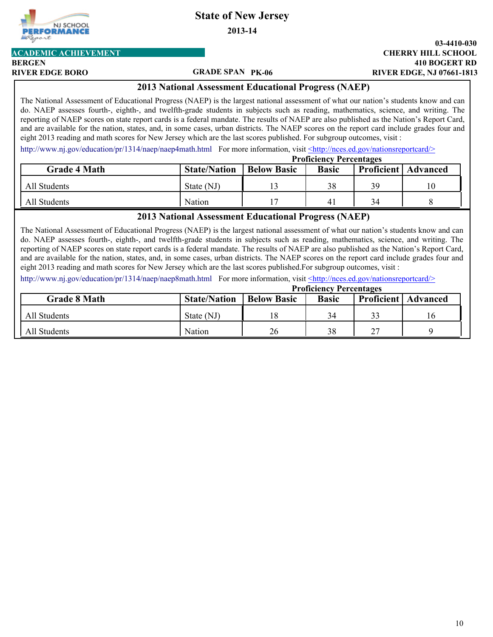**2013-14**

#### **BERGEN ACADEMIC ACHIEVEMENT**

RFORMAI

NJ SCHOOL

#### **GRADE SPAN**

#### **410 BOGERT RD CHERRY HILL SCHOOL 03-4410-030 RIVER EDGE BORO PK-06 RIVER EDGE, NJ 07661-1813**

#### **2013 National Assessment Educational Progress (NAEP)**

The National Assessment of Educational Progress (NAEP) is the largest national assessment of what our nation's students know and can do. NAEP assesses fourth-, eighth-, and twelfth-grade students in subjects such as reading, mathematics, science, and writing. The reporting of NAEP scores on state report cards is a federal mandate. The results of NAEP are also published as the Nation's Report Card, and are available for the nation, states, and, in some cases, urban districts. The NAEP scores on the report card include grades four and eight 2013 reading and math scores for New Jersey which are the last scores published. For subgroup outcomes, visit :

[http://www.nj.gov/education/pr/1314/naep/naep4math.html](http://www.nj.gov/education/pr/1213/naep/naep4math.html) For more information, visit <http://nces.ed.gov/nationsreportcard/>

|                     | <b>Proficiency Percentages</b> |                    |              |    |                              |  |
|---------------------|--------------------------------|--------------------|--------------|----|------------------------------|--|
| <b>Grade 4 Math</b> | <b>State/Nation</b>            | <b>Below Basic</b> | <b>Basic</b> |    | <b>Proficient</b>   Advanced |  |
| All Students        | State (NJ)                     |                    | 38           | 39 | 10                           |  |
| All Students        | Nation                         |                    | $\mathbf{4}$ | 34 |                              |  |

#### **2013 National Assessment Educational Progress (NAEP)**

The National Assessment of Educational Progress (NAEP) is the largest national assessment of what our nation's students know and can do. NAEP assesses fourth-, eighth-, and twelfth-grade students in subjects such as reading, mathematics, science, and writing. The reporting of NAEP scores on state report cards is a federal mandate. The results of NAEP are also published as the Nation's Report Card, and are available for the nation, states, and, in some cases, urban districts. The NAEP scores on the report card include grades four and eight 2013 reading and math scores for New Jersey which are the last scores published.For subgroup outcomes, visit :

[http://www.nj.gov/education/pr/1314/naep/naep8math.html](http://www.nj.gov/education/pr/1213/naep/naep8math.html) For more information, visit <http://nces.ed.gov/nationsreportcard/>

|                     | <b>Proficiency Percentages</b> |                    |              |    |                              |  |
|---------------------|--------------------------------|--------------------|--------------|----|------------------------------|--|
| <b>Grade 8 Math</b> | <b>State/Nation</b>            | <b>Below Basic</b> | <b>Basic</b> |    | <b>Proficient</b>   Advanced |  |
| All Students        | State (NJ)                     |                    | 34           | 33 | 16                           |  |
| All Students        | Nation                         | 26                 | 38           | 27 |                              |  |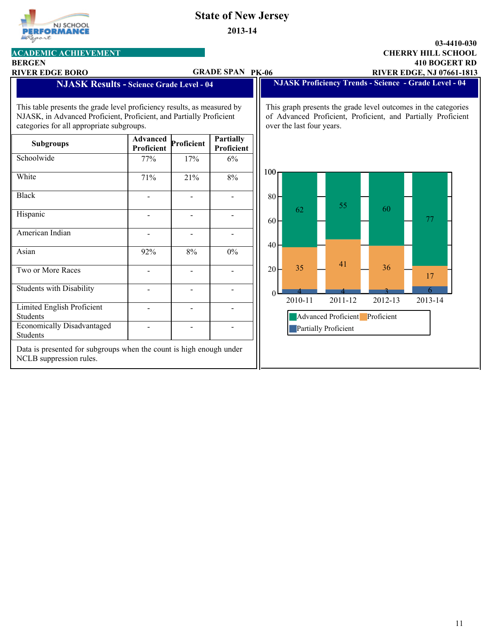# **PERFORMANCE** Report

**ACADEMIC ACHIEVEMENT**

# **State of New Jersey**

**2013-14**

#### **410 BOGERT RD CHERRY HILL SCHOOL 03-4410-030 RIVER EDGE BORO PK-06 RIVER EDGE, NJ 07661-1813**

| <b>BERGEN</b>                                                                                                                                                                               |                               |            |                                |                  |                           |                      |            | <b>410 BOGERT RD</b>                                                                                                           |
|---------------------------------------------------------------------------------------------------------------------------------------------------------------------------------------------|-------------------------------|------------|--------------------------------|------------------|---------------------------|----------------------|------------|--------------------------------------------------------------------------------------------------------------------------------|
| <b>RIVER EDGE BORO</b>                                                                                                                                                                      |                               |            | <b>GRADE SPAN PK-06</b>        |                  |                           |                      |            | <b>RIVER EDGE, NJ 07661-1813</b>                                                                                               |
| <b>NJASK Results - Science Grade Level - 04</b>                                                                                                                                             |                               |            |                                |                  |                           |                      |            | <b>NJASK Proficiency Trends - Science - Grade Level - 04</b>                                                                   |
| This table presents the grade level proficiency results, as measured by<br>NJASK, in Advanced Proficient, Proficient, and Partially Proficient<br>categories for all appropriate subgroups. |                               |            |                                |                  | over the last four years. |                      |            | This graph presents the grade level outcomes in the categories<br>of Advanced Proficient, Proficient, and Partially Proficient |
| <b>Subgroups</b>                                                                                                                                                                            | <b>Advanced</b><br>Proficient | Proficient | <b>Partially</b><br>Proficient |                  |                           |                      |            |                                                                                                                                |
| Schoolwide                                                                                                                                                                                  | 77%                           | 17%        | 6%                             |                  |                           |                      |            |                                                                                                                                |
| White                                                                                                                                                                                       | 71%                           | 21%        | 8%                             | 100 <sub>0</sub> |                           |                      |            |                                                                                                                                |
| <b>Black</b>                                                                                                                                                                                |                               |            | $\overline{\phantom{0}}$       | 80 <sup>2</sup>  |                           | 55                   | 60         |                                                                                                                                |
| Hispanic                                                                                                                                                                                    |                               |            |                                | $60 -$           | 62                        |                      |            | 77                                                                                                                             |
| American Indian                                                                                                                                                                             |                               |            |                                | 40               |                           |                      |            |                                                                                                                                |
| Asian                                                                                                                                                                                       | 92%                           | 8%         | 0%                             |                  |                           | 41                   |            |                                                                                                                                |
| Two or More Races                                                                                                                                                                           |                               |            |                                | 20               | 35                        |                      | 36         | 17                                                                                                                             |
| <b>Students with Disability</b>                                                                                                                                                             |                               |            |                                | $\theta$         | 2010-11                   | 2011-12              | 2012-13    | 6.<br>2013-14                                                                                                                  |
| Limited English Proficient<br><b>Students</b>                                                                                                                                               |                               |            |                                |                  |                           | Advanced Proficient  | Proficient |                                                                                                                                |
| <b>Economically Disadvantaged</b><br>Students                                                                                                                                               |                               |            | $\blacksquare$                 |                  |                           | Partially Proficient |            |                                                                                                                                |
| Data is presented for subgroups when the count is high enough under<br>NCLB suppression rules.                                                                                              |                               |            |                                |                  |                           |                      |            |                                                                                                                                |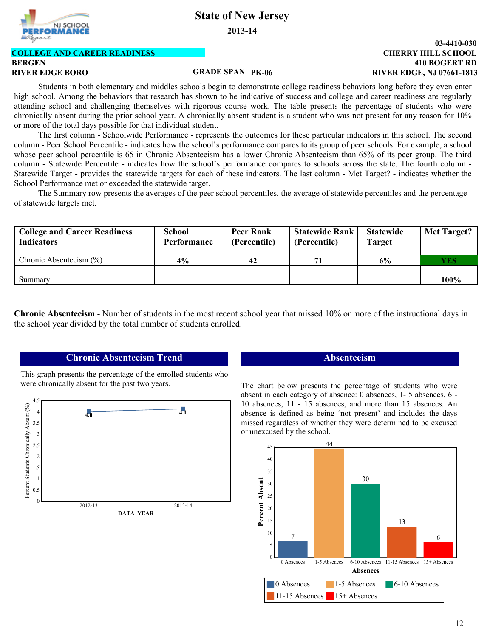**2013-14**

# NJ SCHOOL :FOR N

### **BERGEN COLLEGE AND CAREER READINESS**

### **GRADE SPAN**

#### **410 BOGERT RD CHERRY HILL SCHOOL 03-4410-030 RIVER EDGE BORO PK-06 RIVER EDGE, NJ 07661-1813**

Students in both elementary and middles schools begin to demonstrate college readiness behaviors long before they even enter high school. Among the behaviors that research has shown to be indicative of success and college and career readiness are regularly attending school and challenging themselves with rigorous course work. The table presents the percentage of students who were chronically absent during the prior school year. A chronically absent student is a student who was not present for any reason for 10% or more of the total days possible for that individual student.

The first column - Schoolwide Performance - represents the outcomes for these particular indicators in this school. The second column - Peer School Percentile - indicates how the school's performance compares to its group of peer schools. For example, a school whose peer school percentile is 65 in Chronic Absenteeism has a lower Chronic Absenteeism than 65% of its peer group. The third column - Statewide Percentile - indicates how the school's performance compares to schools across the state. The fourth column - Statewide Target - provides the statewide targets for each of these indicators. The last column - Met Target? - indicates whether the School Performance met or exceeded the statewide target.

The Summary row presents the averages of the peer school percentiles, the average of statewide percentiles and the percentage of statewide targets met.

| <b>College and Career Readiness</b> | <b>School</b> | <b>Peer Rank</b> | <b>Statewide Rank</b> | <b>Statewide</b> | <b>Met Target?</b> |
|-------------------------------------|---------------|------------------|-----------------------|------------------|--------------------|
| <b>Indicators</b>                   | Performance   | (Percentile)     | (Percentile)          | <b>Target</b>    |                    |
|                                     |               |                  |                       |                  |                    |
| Chronic Absenteeism $(\% )$         | $4\%$         | 42               |                       | 6%               | Y ES               |
|                                     |               |                  |                       |                  |                    |
| Summary                             |               |                  |                       |                  | 100%               |

**Chronic Absenteeism** - Number of students in the most recent school year that missed 10% or more of the instructional days in the school year divided by the total number of students enrolled.

### **Chronic Absenteeism Trend**

This graph presents the percentage of the enrolled students who were chronically absent for the past two years.



#### **Absenteeism**

The chart below presents the percentage of students who were absent in each category of absence: 0 absences, 1- 5 absences, 6 - 10 absences, 11 - 15 absences, and more than 15 absences. An absence is defined as being 'not present' and includes the days missed regardless of whether they were determined to be excused or unexcused by the school.

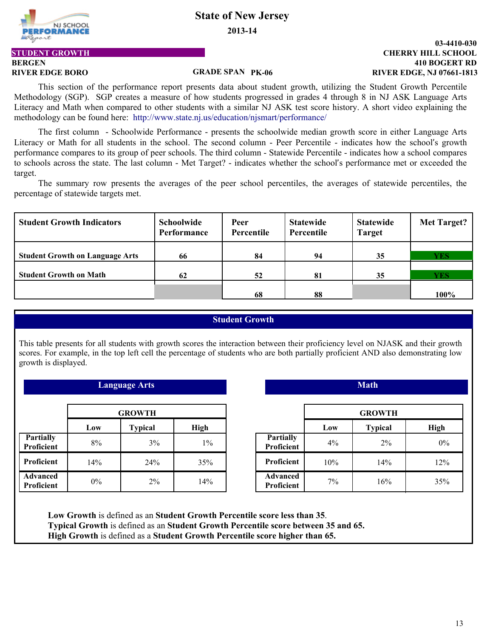**2013-14**



## **BERGEN STUDENT GROWTH**

#### **410 BOGERT RD CHERRY HILL SCHOOL 03-4410-030 RIVER EDGE BORO PK-06 RIVER EDGE, NJ 07661-1813**

**GRADE SPAN**

This section of the performance report presents data about student growth, utilizing the Student Growth Percentile Methodology (SGP). SGP creates a measure of how students progressed in grades 4 through 8 in NJ ASK Language Arts Literacy and Math when compared to other students with a similar NJ ASK test score history. A short video explaining the methodology can be found here: http://www.state.nj.us/education/njsmart/performance/

The first column - Schoolwide Performance - presents the schoolwide median growth score in either Language Arts Literacy or Math for all students in the school. The second column - Peer Percentile - indicates how the school's growth performance compares to its group of peer schools. The third column - Statewide Percentile - indicates how a school compares to schools across the state. The last column - Met Target? - indicates whether the school's performance met or exceeded the target.

The summary row presents the averages of the peer school percentiles, the averages of statewide percentiles, the percentage of statewide targets met.

| <b>Student Growth Indicators</b>       | Schoolwide<br>Performance | Peer<br>Percentile | <b>Statewide</b><br>Percentile | <b>Statewide</b><br><b>Target</b> | Met Target? |
|----------------------------------------|---------------------------|--------------------|--------------------------------|-----------------------------------|-------------|
| <b>Student Growth on Language Arts</b> | 66                        | 84                 | 94                             | 35                                | <b>YES</b>  |
| <b>Student Growth on Math</b>          | 62                        | 52                 | 81                             | 35                                | <b>YES</b>  |
|                                        |                           | 68                 | 88                             |                                   | 100%        |

#### **Student Growth**

This table presents for all students with growth scores the interaction between their proficiency level on NJASK and their growth scores. For example, in the top left cell the percentage of students who are both partially proficient AND also demonstrating low growth is displayed.

*Language Arts* **Math Math** *Math Math* 

|                                      | <b>GROWTH</b> |                |             |  |  |  |
|--------------------------------------|---------------|----------------|-------------|--|--|--|
|                                      | Low           | <b>Typical</b> | <b>High</b> |  |  |  |
| Partially<br><b>Proficient</b>       | 8%            | 3%             | $1\%$       |  |  |  |
| Proficient                           | 14%           | 24%            | 35%         |  |  |  |
| <b>Advanced</b><br><b>Proficient</b> | $0\%$         | $2\%$          | 14%         |  |  |  |

| :OWTH          |       |                                | <b>GROWTH</b> |                |       |
|----------------|-------|--------------------------------|---------------|----------------|-------|
| <b>Typical</b> | High  |                                | Low           | <b>Typical</b> | High  |
| 3%             | $1\%$ | <b>Partially</b><br>Proficient | 4%            | $2\%$          | $0\%$ |
| 24%            | 35%   | Proficient                     | 10%           | 14%            | 12%   |
| 2%             | 14%   | <b>Advanced</b><br>Proficient  | 7%            | 16%            | 35%   |

**Low Growth** is defined as an **Student Growth Percentile score less than 35**. **Typical Growth** is defined as an **Student Growth Percentile score between 35 and 65. High Growth** is defined as a **Student Growth Percentile score higher than 65.**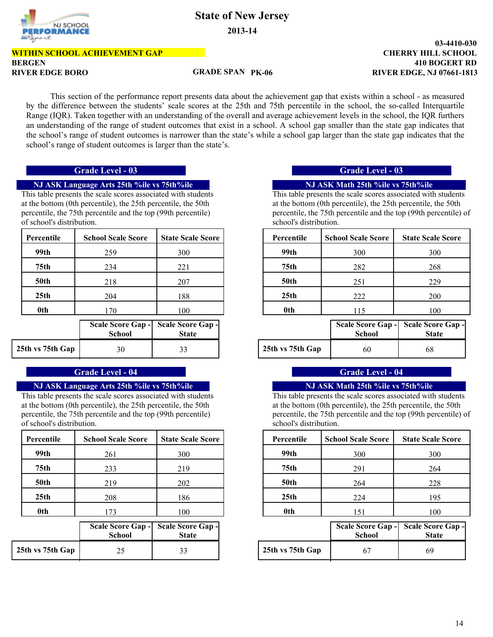## NJ SCHOOL **LFORMANCE**

# **State of New Jersey**

**2013-14**

# **BERGEN WITHIN SCHOOL ACHIEVEMENT GAP**

#### **GRADE SPAN**

### **410 BOGERT RD CHERRY HILL SCHOOL RIVER EDGE BORO PK-06 RIVER EDGE, NJ 07661-1813**

**03-4410-030**

This section of the performance report presents data about the achievement gap that exists within a school - as measured by the difference between the students' scale scores at the 25th and 75th percentile in the school, the so-called Interquartile Range (IQR). Taken together with an understanding of the overall and average achievement levels in the school, the IQR furthers an understanding of the range of student outcomes that exist in a school. A school gap smaller than the state gap indicates that the school's range of student outcomes is narrower than the state's while a school gap larger than the state gap indicates that the school's range of student outcomes is larger than the state's.

#### **NJ ASK Language Arts 25th %ile vs 75th%ile NJ ASK Math 25th %ile vs 75th%ile**

This table presents the scale scores associated with students at the bottom (0th percentile), the 25th percentile, the 50th percentile, the 75th percentile and the top (99th percentile) of school's distribution.

| Percentile       | <b>School Scale Score</b> | <b>State Scale Score</b> | Percentile       | <b>School Scale</b> |
|------------------|---------------------------|--------------------------|------------------|---------------------|
| 99th             | 259                       | 300                      | 99th             | 300                 |
| 75th             | 234                       | 221                      | 75th             | 282                 |
| <b>50th</b>      | 218                       | 207                      | <b>50th</b>      | 251                 |
| 25 <sub>th</sub> | 204                       | 188                      | 25 <sub>th</sub> | 222                 |
| 0th              | 170                       | 100                      | 0th              | 115                 |

|                  | <b>School</b> | Scale Score Gap - Scale Score Gap -<br><b>State</b> |
|------------------|---------------|-----------------------------------------------------|
| 25th vs 75th Gap | 30            | 33                                                  |

#### **Grade Level - 04 Grade Level - 04**

#### **NJ ASK Language Arts 25th %ile vs 75th%ile NJ ASK Math 25th %ile vs 75th%ile**

This table presents the scale scores associated with students at the bottom (0th percentile), the 25th percentile, the 50th percentile, the 75th percentile and the top (99th percentile) of school's distribution.

| Percentile       | <b>School Scale Score</b> | <b>State Scale Score</b> | Percentile       | <b>School Scale</b> |
|------------------|---------------------------|--------------------------|------------------|---------------------|
| 99th             | 261                       | 300                      | 99th             | 300                 |
| 75th             | 233                       | 219                      | 75 <sub>th</sub> | 291                 |
| <b>50th</b>      | 219                       | 202                      | 50th             | 264                 |
| 25 <sub>th</sub> | 208                       | 186                      | 25 <sub>th</sub> | 224                 |
| 0th              | 173                       | 100                      | 0th              | 151                 |

|                  | <b>School</b> | Scale Score Gap - Scale Score Gap -<br><b>State</b> |
|------------------|---------------|-----------------------------------------------------|
| 25th vs 75th Gap |               | 33                                                  |

### **Grade Level - 03 Grade Level - 03**

This table presents the scale scores associated with students at the bottom (0th percentile), the 25th percentile, the 50th percentile, the 75th percentile and the top (99th percentile) of school's distribution.

| <b>State Scale Score</b>                  | Percentile       | <b>School Scale Score</b> | <b>State Scale Score</b>       |
|-------------------------------------------|------------------|---------------------------|--------------------------------|
| 300                                       | 99th             | 300                       | 300                            |
| 221                                       | 75th             | 282                       | 268                            |
| 207                                       | <b>50th</b>      | 251                       | 229                            |
| 188                                       | 25 <sub>th</sub> | 222                       | 200                            |
| 100                                       | 0th              | 115                       | 100                            |
| $\sim$ $\sim$<br>$\overline{\phantom{a}}$ |                  | .<br>$\sim$               | $\sim$ $\sim$ $\sim$<br>$\sim$ |

| hool | ore Gap - Scale Score Gap -<br><b>State</b> |                  | <b>School</b> | Scale Score Gap - Scale Score Gap -<br><b>State</b> |
|------|---------------------------------------------|------------------|---------------|-----------------------------------------------------|
| 30   |                                             | 25th vs 75th Gap | 60            | 68                                                  |

This table presents the scale scores associated with students at the bottom (0th percentile), the 25th percentile, the 50th percentile, the 75th percentile and the top (99th percentile) of school's distribution.

| <b>State Scale Score</b> | Percentile       | <b>School Scale Score</b> | <b>State Scale Score</b> |
|--------------------------|------------------|---------------------------|--------------------------|
| 300                      | 99th             | 300                       | 300                      |
| 219                      | 75th             | 291                       | 264                      |
| 202                      | <b>50th</b>      | 264                       | 228                      |
| 186                      | 25 <sub>th</sub> | 224                       | 195                      |
| 100                      | 0th              | 51                        | 100                      |

| hool | ore Gap - Scale Score Gap -<br>State |                  | <b>School</b> | Scale Score Gap - Scale Score Gap -<br>State |
|------|--------------------------------------|------------------|---------------|----------------------------------------------|
|      |                                      | 25th vs 75th Gap |               | 69                                           |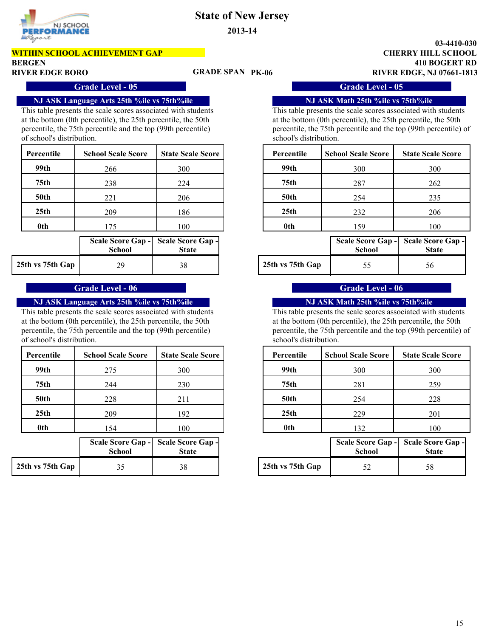

**WITHIN SCHOOL ACHIEVEMENT GAP**

**BERGEN**

### **GRADE SPAN**

**410 BOGERT RD CHERRY HILL SCHOOL 03-4410-030 RIVER EDGE BORO PK-06 RIVER EDGE, NJ 07661-1813**

**Grade Level - 05 Grade Level - 05** 

This table presents the scale scores associated with students at the bottom (0th percentile), the 25th percentile, the 50th percentile, the 75th percentile and the top (99th percentile) of school's distribution.

| Percentile       | <b>School Scale Score</b> | <b>State Scale Score</b> | Percentile       | <b>School Scale</b> |
|------------------|---------------------------|--------------------------|------------------|---------------------|
| 99th             | 266                       | 300                      | 99th             | 300                 |
| 75th             | 238                       | 224                      | 75 <sub>th</sub> | 287                 |
| <b>50th</b>      | 221                       | 206                      | <b>50th</b>      | 254                 |
| 25 <sub>th</sub> | 209                       | 186                      | 25 <sub>th</sub> | 232                 |
| 0th              | l 75                      | 100                      | 0th              | 159                 |

|                  | School | Scale Score Gap - Scale Score Gap -<br><b>State</b> |                  | Scale Score Gap - Scale Sco<br>School | St |
|------------------|--------|-----------------------------------------------------|------------------|---------------------------------------|----|
| 25th vs 75th Gap | οq     | 38                                                  | 25th vs 75th Gap |                                       | 56 |

#### **Grade Level - 06 Grade Level - 06**

#### **NJ ASK Language Arts 25th %ile vs 75th%ile NJ ASK Math 25th %ile vs 75th%ile**

This table presents the scale scores associated with students at the bottom (0th percentile), the 25th percentile, the 50th percentile, the 75th percentile and the top (99th percentile) of school's distribution.

| Percentile       | <b>School Scale Score</b> | <b>State Scale Score</b> | Percentile       | <b>School Scale</b> |
|------------------|---------------------------|--------------------------|------------------|---------------------|
| 99th             | 275                       | 300                      | 99th             | 300                 |
| 75th             | 244                       | 230                      | 75th             | 281                 |
| <b>50th</b>      | 228                       | 211                      | <b>50th</b>      | 254                 |
| 25 <sub>th</sub> | 209                       | 192                      | 25 <sub>th</sub> | 229                 |
| 0th              | 54                        | 100                      | 0th              | 132                 |

|                  | <b>School</b> | <b>State</b> |
|------------------|---------------|--------------|
| 25th vs 75th Gap |               |              |

#### **NJ ASK Language Arts 25th %ile vs 75th%ile NJ ASK Math 25th %ile vs 75th%ile**

This table presents the scale scores associated with students at the bottom (0th percentile), the 25th percentile, the 50th percentile, the 75th percentile and the top (99th percentile) of school's distribution.

| <b>State Scale Score</b>         | Percentile       | <b>School Scale Score</b>                 | <b>State Scale Score</b>                 |
|----------------------------------|------------------|-------------------------------------------|------------------------------------------|
| 300                              | 99th             | 300                                       | 300                                      |
| 224                              | 75th             | 287                                       | 262                                      |
| 206                              | <b>50th</b>      | 254                                       | 235                                      |
| 186                              | 25 <sub>th</sub> | 232                                       | 206                                      |
| 100                              | 0th              | 159                                       | 100                                      |
| cale Score Gap -<br><b>State</b> |                  | <b>Scale Score Gap -</b><br><b>School</b> | <b>Scale Score Gap -</b><br><b>State</b> |
|                                  |                  |                                           |                                          |

This table presents the scale scores associated with students at the bottom (0th percentile), the 25th percentile, the 50th percentile, the 75th percentile and the top (99th percentile) of school's distribution.

| <b>State Scale Score</b> | Percentile |                  | <b>School Scale Score</b> | <b>State Scale Score</b> |  |
|--------------------------|------------|------------------|---------------------------|--------------------------|--|
| 300                      |            | 99th             | 300                       | 300                      |  |
| 230                      |            | 75th             | 281                       | 259                      |  |
| 211                      |            | <b>50th</b>      | 254                       | 228                      |  |
| 192                      |            | 25 <sub>th</sub> | 229                       | 201                      |  |
| 100                      |            | 0th              | 132                       | 100                      |  |

| hool | ore Gap - Scale Score Gap -<br><b>State</b> |                  | School | Scale Score Gap - Scale Score Gap -<br><b>State</b> |
|------|---------------------------------------------|------------------|--------|-----------------------------------------------------|
| 35   |                                             | 25th vs 75th Gap |        |                                                     |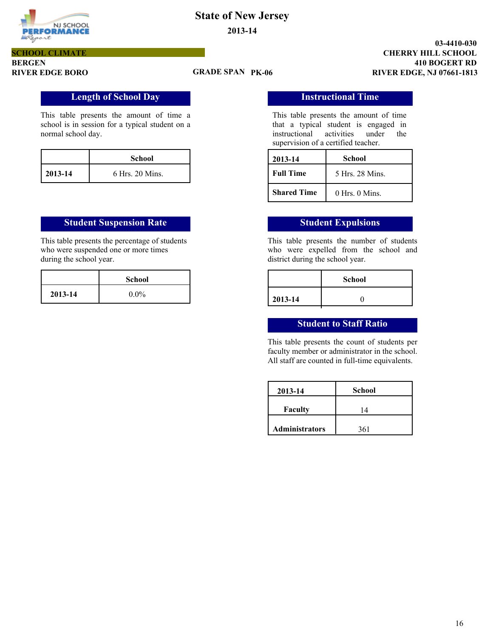

**BERGEN SCHOOL CLIMATE**

#### **GRADE SPAN**

**410 BOGERT RD CHERRY HILL SCHOOL 03-4410-030 RIVER EDGE BORO PK-06 RIVER EDGE, NJ 07661-1813**

### **Length of School Day Instructional Time**

This table presents the amount of time a school is in session for a typical student on a normal school day.

|         | School          |
|---------|-----------------|
| 2013-14 | 6 Hrs. 20 Mins. |

#### **Student Suspension Rate Student Expulsions**

This table presents the percentage of students who were suspended one or more times during the school year.

|         | <b>School</b> |
|---------|---------------|
| 2013-14 | $0.0\%$       |

This table presents the amount of time that a typical student is engaged in instructional activities under the supervision of a certified teacher.

| 2013-14            | School             |
|--------------------|--------------------|
| <b>Full Time</b>   | 5 Hrs 28 Mins      |
| <b>Shared Time</b> | $0$ Hrs. $0$ Mins. |

This table presents the number of students who were expelled from the school and district during the school year.

|         | <b>School</b> |
|---------|---------------|
| 2013-14 |               |

#### **Student to Staff Ratio**

This table presents the count of students per faculty member or administrator in the school. All staff are counted in full-time equivalents.

| 2013-14               | <b>School</b> |
|-----------------------|---------------|
| <b>Faculty</b>        | 4             |
| <b>Administrators</b> | 361           |